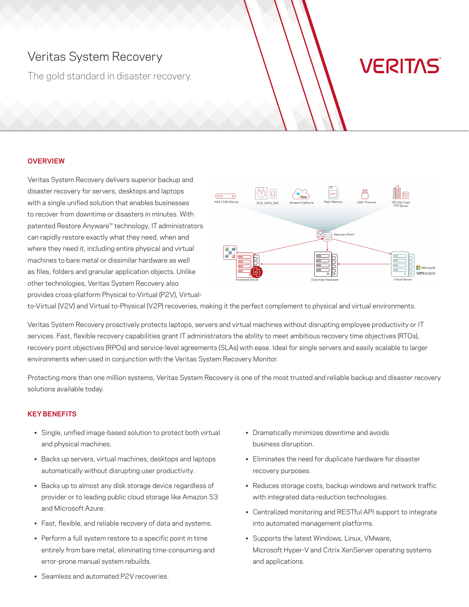# Veritas System Recovery

The gold standard in disaster recovery.

# **VERITAS**

# **OVERVIEW**

Veritas System Recovery delivers superior backup and disaster recovery for servers, desktops and laptops with a single unified solution that enables businesses to recover from downtime or disasters in minutes. With patented Restore Anyware™ technology, IT administrators can rapidly restore exactly what they need, when and where they need it, including entire physical and virtual machines to bare metal or dissimilar hardware as well as files, folders and granular application objects. Unlike other technologies, Veritas System Recovery also provides cross-platform Physical to-Virtual (P2V), Virtual-



to-Virtual (V2V) and Virtual to-Physical (V2P) recoveries, making it the perfect complement to physical and virtual environments.

Veritas System Recovery proactively protects laptops, servers and virtual machines without disrupting employee productivity or IT services. Fast, flexible recovery capabilities grant IT administrators the ability to meet ambitious recovery time objectives (RTOs), recovery point objectives (RPOs) and service-level agreements (SLAs) with ease. Ideal for single servers and easily scalable to larger environments when used in conjunction with the Veritas System Recovery Monitor.

Protecting more than one million systems, Veritas System Recovery is one of the most trusted and reliable backup and disaster recovery solutions available today.

### **KEY BENEFITS**

- Single, unified image-based solution to protect both virtual and physical machines.
- Backs up servers, virtual machines, desktops and laptops automatically without disrupting user productivity.
- Backs up to almost any disk storage device regardless of provider or to leading public cloud storage like Amazon S3 and Microsoft Azure.
- Fast, flexible, and reliable recovery of data and systems.
- Perform a full system restore to a specific point in time entirely from bare metal, eliminating time-consuming and error-prone manual system rebuilds.
- Dramatically minimizes downtime and avoids business disruption.
- Eliminates the need for duplicate hardware for disaster recovery purposes.
- Reduces storage costs, backup windows and network traffic with integrated data reduction technologies.
- Centralized monitoring and RESTful API support to integrate into automated management platforms.
- Supports the latest Windows, Linux, VMware, Microsoft Hyper-V and Citrix XenServer operating systems and applications.

• Seamless and automated P2V recoveries.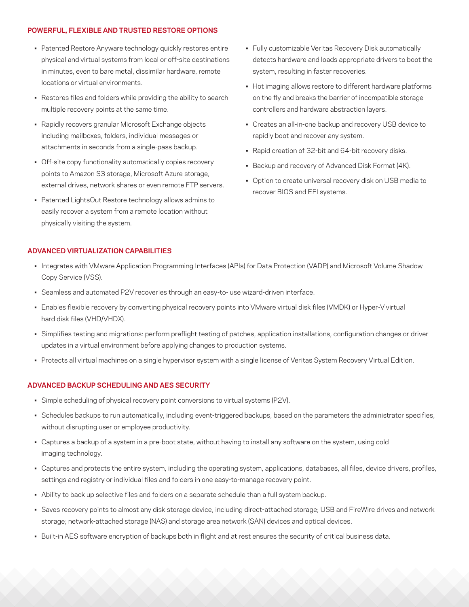#### **POWERFUL, FLEXIBLE AND TRUSTED RESTORE OPTIONS**

- Patented Restore Anyware technology quickly restores entire physical and virtual systems from local or off-site destinations in minutes, even to bare metal, dissimilar hardware, remote locations or virtual environments.
- Restores files and folders while providing the ability to search multiple recovery points at the same time.
- Rapidly recovers granular Microsoft Exchange objects including mailboxes, folders, individual messages or attachments in seconds from a single-pass backup.
- Off-site copy functionality automatically copies recovery points to Amazon S3 storage, Microsoft Azure storage, external drives, network shares or even remote FTP servers.
- Patented LightsOut Restore technology allows admins to easily recover a system from a remote location without physically visiting the system.
- Fully customizable Veritas Recovery Disk automatically detects hardware and loads appropriate drivers to boot the system, resulting in faster recoveries.
- Hot imaging allows restore to different hardware platforms on the fly and breaks the barrier of incompatible storage controllers and hardware abstraction layers.
- Creates an all-in-one backup and recovery USB device to rapidly boot and recover any system.
- Rapid creation of 32-bit and 64-bit recovery disks.
- Backup and recovery of Advanced Disk Format (4K).
- Option to create universal recovery disk on USB media to recover BIOS and EFI systems.

#### **ADVANCED VIRTUALIZATION CAPABILITIES**

- Integrates with VMware Application Programming Interfaces (APIs) for Data Protection (VADP) and Microsoft Volume Shadow Copy Service (VSS).
- Seamless and automated P2V recoveries through an easy-to- use wizard-driven interface.
- Enables flexible recovery by converting physical recovery points into VMware virtual disk files (VMDK) or Hyper-V virtual hard disk files (VHD/VHDX).
- Simplifies testing and migrations: perform preflight testing of patches, application installations, configuration changes or driver updates in a virtual environment before applying changes to production systems.
- Protects all virtual machines on a single hypervisor system with a single license of Veritas System Recovery Virtual Edition.

#### **ADVANCED BACKUP SCHEDULING AND AES SECURITY**

- Simple scheduling of physical recovery point conversions to virtual systems (P2V).
- Schedules backups to run automatically, including event-triggered backups, based on the parameters the administrator specifies, without disrupting user or employee productivity.
- Captures a backup of a system in a pre-boot state, without having to install any software on the system, using cold imaging technology.
- Captures and protects the entire system, including the operating system, applications, databases, all files, device drivers, profiles, settings and registry or individual files and folders in one easy-to-manage recovery point.
- Ability to back up selective files and folders on a separate schedule than a full system backup.
- Saves recovery points to almost any disk storage device, including direct-attached storage; USB and FireWire drives and network storage; network-attached storage (NAS) and storage area network (SAN) devices and optical devices.
- Built-in AES software encryption of backups both in flight and at rest ensures the security of critical business data.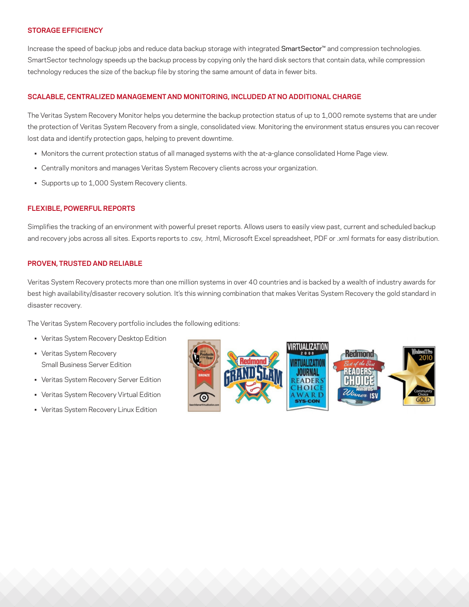#### **STORAGE EFFICIENCY**

Increase the speed of backup jobs and reduce data backup storage with integrated SmartSector™ and compression technologies. SmartSector technology speeds up the backup process by copying only the hard disk sectors that contain data, while compression technology reduces the size of the backup file by storing the same amount of data in fewer bits.

#### **SCALABLE, CENTRALIZED MANAGEMENT AND MONITORING, INCLUDED AT NO ADDITIONAL CHARGE**

The Veritas System Recovery Monitor helps you determine the backup protection status of up to 1,000 remote systems that are under the protection of Veritas System Recovery from a single, consolidated view. Monitoring the environment status ensures you can recover lost data and identify protection gaps, helping to prevent downtime.

- Monitors the current protection status of all managed systems with the at-a-glance consolidated Home Page view.
- Centrally monitors and manages Veritas System Recovery clients across your organization.
- Supports up to 1,000 System Recovery clients.

#### **FLEXIBLE, POWERFUL REPORTS**

Simplifies the tracking of an environment with powerful preset reports. Allows users to easily view past, current and scheduled backup and recovery jobs across all sites. Exports reports to .csv, .html, Microsoft Excel spreadsheet, PDF or .xml formats for easy distribution.

# **PROVEN, TRUSTED AND RELIABLE**

Veritas System Recovery protects more than one million systems in over 40 countries and is backed by a wealth of industry awards for best high availability/disaster recovery solution. It's this winning combination that makes Veritas System Recovery the gold standard in disaster recovery.

The Veritas System Recovery portfolio includes the following editions:

- Veritas System Recovery Desktop Edition
- Veritas System Recovery Small Business Server Edition
- Veritas System Recovery Server Edition
- Veritas System Recovery Virtual Edition
- Veritas System Recovery Linux Edition